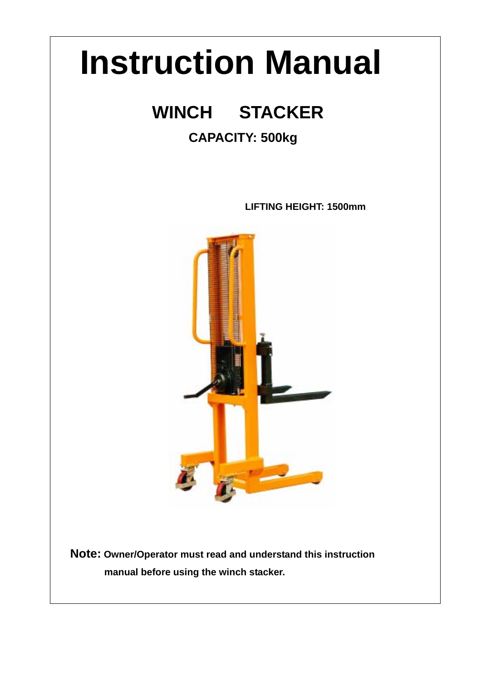# **Instruction Manual**

# **WINCH STACKER**

 $\overline{\phantom{a}}$ 

 $\overline{\phantom{a}}$ 

## **CAPACITY: 500kg**

**LIFTING HEIGHT: 1500mm** 



**Note: Owner/Operator must read and understand this instruction manual before using the winch stacker.**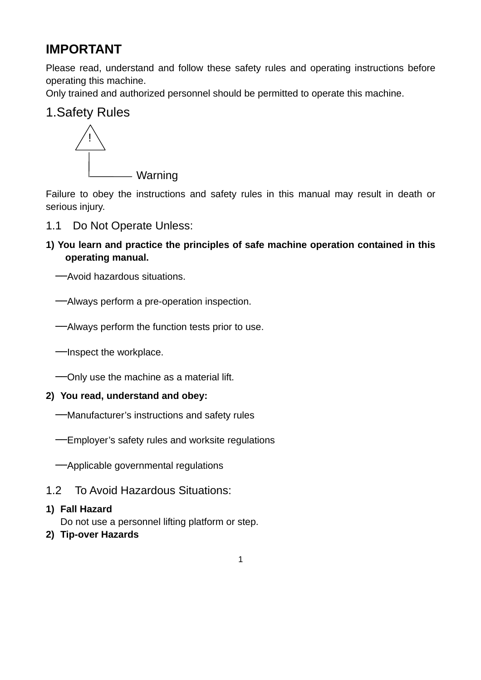## **IMPORTANT**

Please read, understand and follow these safety rules and operating instructions before operating this machine.

Only trained and authorized personnel should be permitted to operate this machine.

### 1.Safety Rules



Failure to obey the instructions and safety rules in this manual may result in death or serious injury.

- 1.1 Do Not Operate Unless:
- **1) You learn and practice the principles of safe machine operation contained in this operating manual.**

──Avoid hazardous situations.

──Always perform a pre-operation inspection.

──Always perform the function tests prior to use.

──Inspect the workplace.

──Only use the machine as a material lift.

#### **2) You read, understand and obey:**

- ──Manufacturer's instructions and safety rules
- ──Employer's safety rules and worksite regulations

──Applicable governmental regulations

1.2 To Avoid Hazardous Situations:

#### **1) Fall Hazard**

Do not use a personnel lifting platform or step.

**2) Tip-over Hazards**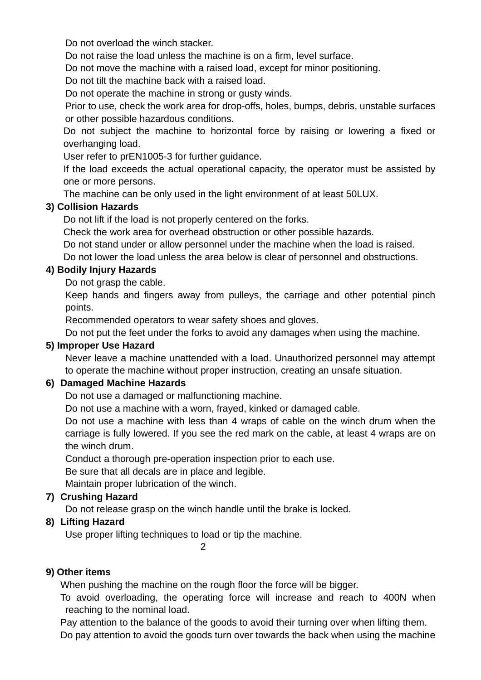Do not overload the winch stacker.

Do not raise the load unless the machine is on a firm, level surface.

Do not move the machine with a raised load, except for minor positioning.

Do not tilt the machine back with a raised load.

Do not operate the machine in strong or gusty winds.

Prior to use, check the work area for drop-offs, holes, bumps, debris, unstable surfaces or other possible hazardous conditions.

Do not subject the machine to horizontal force by raising or lowering a fixed or overhanging load.

User refer to prEN1005-3 for further guidance.

If the load exceeds the actual operational capacity, the operator must be assisted by one or more persons.

The machine can be only used in the light environment of at least 50LUX.

#### **3) Collision Hazards**

Do not lift if the load is not properly centered on the forks.

Check the work area for overhead obstruction or other possible hazards.

Do not stand under or allow personnel under the machine when the load is raised.

Do not lower the load unless the area below is clear of personnel and obstructions.

#### **4) Bodily Injury Hazards**

Do not grasp the cable.

 Keep hands and fingers away from pulleys, the carriage and other potential pinch points.

Recommended operators to wear safety shoes and gloves.

Do not put the feet under the forks to avoid any damages when using the machine.

#### **5) Improper Use Hazard**

 Never leave a machine unattended with a load. Unauthorized personnel may attempt to operate the machine without proper instruction, creating an unsafe situation.

#### **6) Damaged Machine Hazards**

Do not use a damaged or malfunctioning machine.

Do not use a machine with a worn, frayed, kinked or damaged cable.

Do not use a machine with less than 4 wraps of cable on the winch drum when the carriage is fully lowered. If you see the red mark on the cable, at least 4 wraps are on the winch drum.

Conduct a thorough pre-operation inspection prior to each use.

Be sure that all decals are in place and legible.

Maintain proper lubrication of the winch.

#### **7) Crushing Hazard**

Do not release grasp on the winch handle until the brake is locked.

#### **8) Lifting Hazard**

Use proper lifting techniques to load or tip the machine.

2

#### **9) Other items**

When pushing the machine on the rough floor the force will be bigger.

 To avoid overloading, the operating force will increase and reach to 400N when reaching to the nominal load.

 Pay attention to the balance of the goods to avoid their turning over when lifting them. Do pay attention to avoid the goods turn over towards the back when using the machine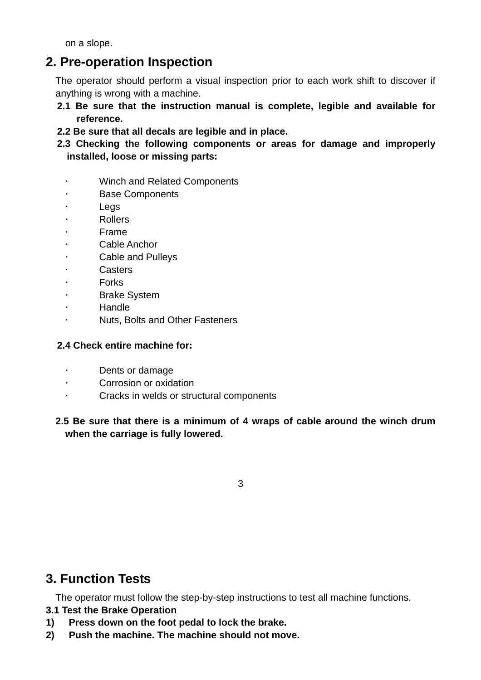on a slope.

## **2. Pre-operation Inspection**

 The operator should perform a visual inspection prior to each work shift to discover if anything is wrong with a machine.

- **2.1 Be sure that the instruction manual is complete, legible and available for reference.**
- **2.2 Be sure that all decals are legible and in place.**
- **2.3 Checking the following components or areas for damage and improperly installed, loose or missing parts:** 
	- Winch and Related Components
	- **Base Components**
	- · Legs
	- · Rollers
	- · Frame
	- Cable Anchor
	- Cable and Pulleys
	- **Casters**
	- **Forks**
	- **Brake System**
	- · Handle
	- Nuts, Bolts and Other Fasteners

#### **2.4 Check entire machine for:**

- · Dents or damage
- Corrosion or oxidation
- Cracks in welds or structural components

#### **2.5 Be sure that there is a minimum of 4 wraps of cable around the winch drum when the carriage is fully lowered.**

3

## **3. Function Tests**

The operator must follow the step-by-step instructions to test all machine functions.

#### **3.1 Test the Brake Operation**

- **1) Press down on the foot pedal to lock the brake.**
- **2) Push the machine. The machine should not move.**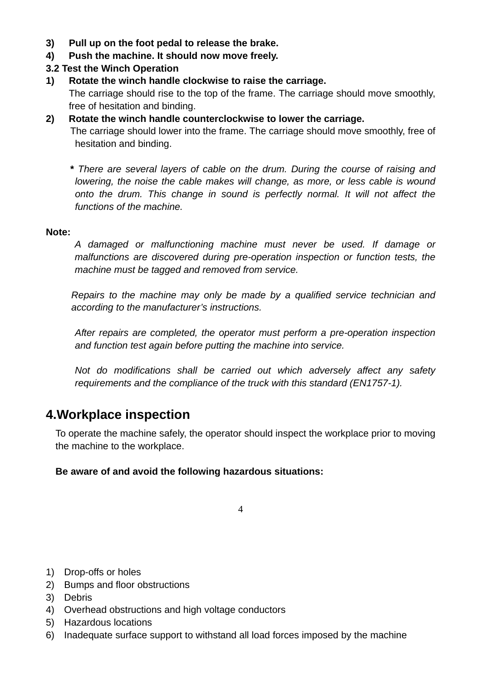- **3) Pull up on the foot pedal to release the brake.**
- **4) Push the machine. It should now move freely.**
- **3.2 Test the Winch Operation**
- **1) Rotate the winch handle clockwise to raise the carriage.**  The carriage should rise to the top of the frame. The carriage should move smoothly, free of hesitation and binding.
- **2) Rotate the winch handle counterclockwise to lower the carriage.** The carriage should lower into the frame. The carriage should move smoothly, free of hesitation and binding.

 **\*** *There are several layers of cable on the drum. During the course of raising and lowering, the noise the cable makes will change, as more, or less cable is wound onto the drum. This change in sound is perfectly normal. It will not affect the functions of the machine.* 

#### **Note:**

*A damaged or malfunctioning machine must never be used. If damage or malfunctions are discovered during pre-operation inspection or function tests, the machine must be tagged and removed from service.* 

 *Repairs to the machine may only be made by a qualified service technician and according to the manufacturer's instructions.* 

 *After repairs are completed, the operator must perform a pre-operation inspection and function test again before putting the machine into service.* 

 *Not do modifications shall be carried out which adversely affect any safety requirements and the compliance of the truck with this standard (EN1757-1).*

## **4.Workplace inspection**

 To operate the machine safely, the operator should inspect the workplace prior to moving the machine to the workplace.

#### **Be aware of and avoid the following hazardous situations:**

- 1) Drop-offs or holes
- 2) Bumps and floor obstructions
- 3) Debris
- 4) Overhead obstructions and high voltage conductors
- 5) Hazardous locations
- 6) Inadequate surface support to withstand all load forces imposed by the machine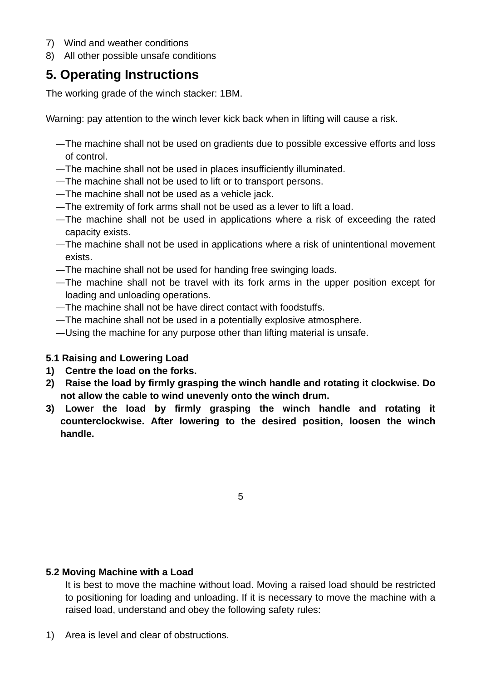- 7) Wind and weather conditions
- 8) All other possible unsafe conditions

## **5. Operating Instructions**

The working grade of the winch stacker: 1BM.

Warning: pay attention to the winch lever kick back when in lifting will cause a risk.

- —The machine shall not be used on gradients due to possible excessive efforts and loss of control.
- —The machine shall not be used in places insufficiently illuminated.
- —The machine shall not be used to lift or to transport persons.
- —The machine shall not be used as a vehicle jack.
- —The extremity of fork arms shall not be used as a lever to lift a load.
- —The machine shall not be used in applications where a risk of exceeding the rated capacity exists.
- —The machine shall not be used in applications where a risk of unintentional movement exists.
- —The machine shall not be used for handing free swinging loads.
- —The machine shall not be travel with its fork arms in the upper position except for loading and unloading operations.
- —The machine shall not be have direct contact with foodstuffs.
- —The machine shall not be used in a potentially explosive atmosphere.
- —Using the machine for any purpose other than lifting material is unsafe.

#### **5.1 Raising and Lowering Load**

- **1) Centre the load on the forks.**
- **2) Raise the load by firmly grasping the winch handle and rotating it clockwise. Do not allow the cable to wind unevenly onto the winch drum.**
- **3) Lower the load by firmly grasping the winch handle and rotating it counterclockwise. After lowering to the desired position, loosen the winch handle.**

5

#### **5.2 Moving Machine with a Load**

 It is best to move the machine without load. Moving a raised load should be restricted to positioning for loading and unloading. If it is necessary to move the machine with a raised load, understand and obey the following safety rules:

1) Area is level and clear of obstructions.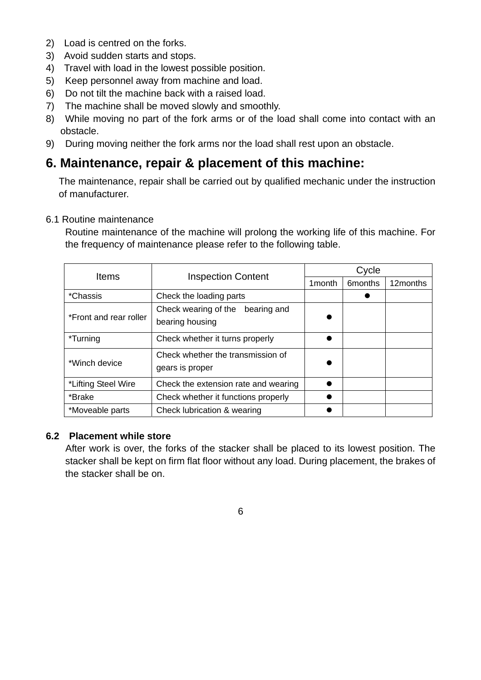- 2) Load is centred on the forks.
- 3) Avoid sudden starts and stops.
- 4) Travel with load in the lowest possible position.
- 5) Keep personnel away from machine and load.
- 6) Do not tilt the machine back with a raised load.
- 7) The machine shall be moved slowly and smoothly.
- 8) While moving no part of the fork arms or of the load shall come into contact with an obstacle.
- 9) During moving neither the fork arms nor the load shall rest upon an obstacle.

## **6. Maintenance, repair & placement of this machine:**

The maintenance, repair shall be carried out by qualified mechanic under the instruction of manufacturer.

#### 6.1 Routine maintenance

 Routine maintenance of the machine will prolong the working life of this machine. For the frequency of maintenance please refer to the following table.

| Items                                                                 | <b>Inspection Content</b>                              | Cycle   |                      |          |
|-----------------------------------------------------------------------|--------------------------------------------------------|---------|----------------------|----------|
|                                                                       |                                                        | 1 month | 6 <sub>m</sub> onths | 12months |
| *Chassis                                                              | Check the loading parts                                |         |                      |          |
| *Front and rear roller                                                | Check wearing of the<br>bearing and<br>bearing housing |         |                      |          |
| *Turning                                                              | Check whether it turns properly                        |         |                      |          |
| Check whether the transmission of<br>*Winch device<br>gears is proper |                                                        |         |                      |          |
| *Lifting Steel Wire                                                   | Check the extension rate and wearing                   |         |                      |          |
| *Brake                                                                | Check whether it functions properly                    |         |                      |          |
| Check lubrication & wearing<br>*Moveable parts                        |                                                        |         |                      |          |

#### **6.2 Placement while store**

After work is over, the forks of the stacker shall be placed to its lowest position. The stacker shall be kept on firm flat floor without any load. During placement, the brakes of the stacker shall be on.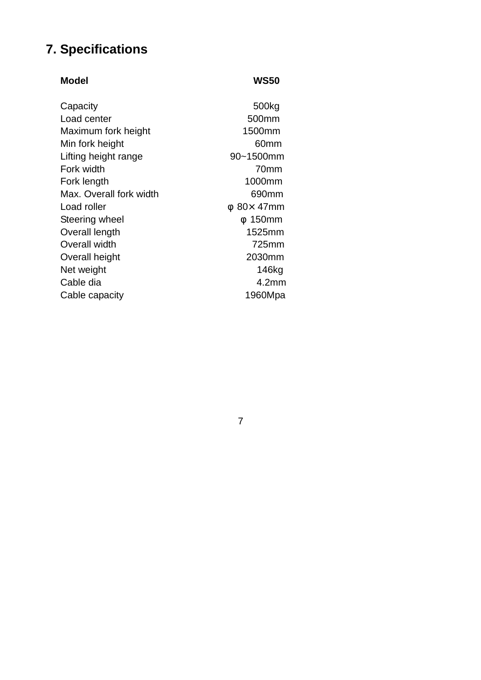## **7. Specifications**

#### **Model WS50**  Capacity 500kg Load center 600mm Maximum fork height 1500mm Min fork height 60mm Lifting height range 90~1500mm Fork width 70mm Fork length 1000mm Max. Overall fork width 690mm Load roller  $80 \times 47$ mm Steering wheel 150mm Overall length 1525mm Overall width 725mm Overall height 2030mm Net weight 146kg Cable dia 4.2mm Cable capacity 1960Mpa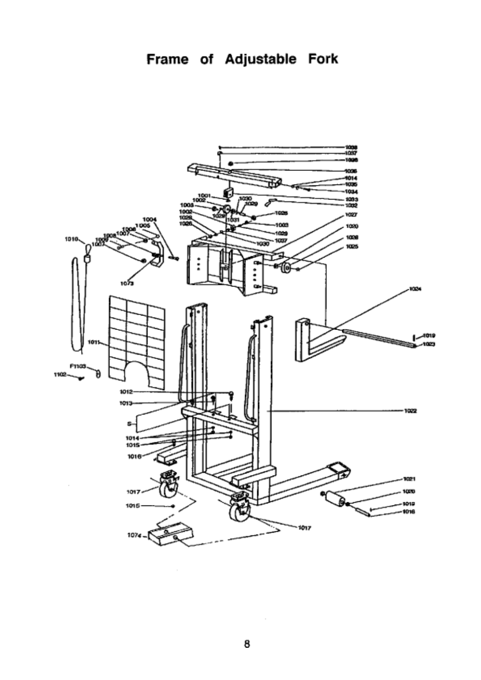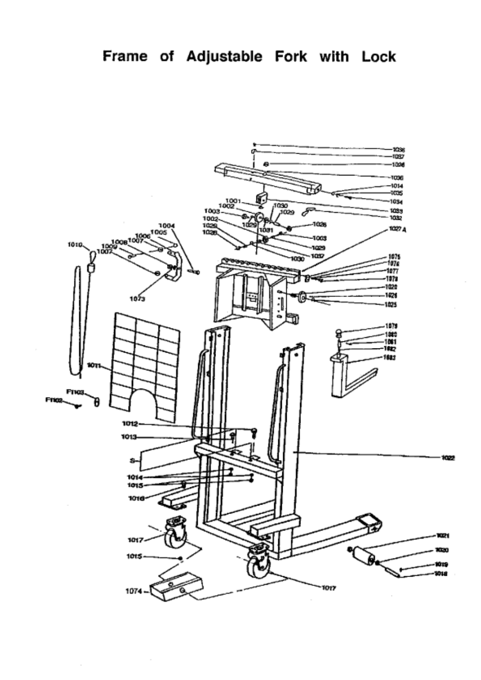

 $\bar{z}$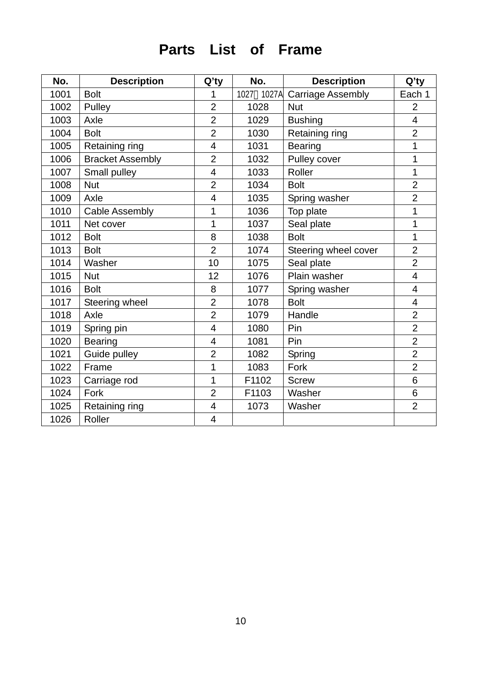# **Parts List of Frame**

| No.  | <b>Description</b>      | $Q'$ ty        | No.           | <b>Description</b>       | Q'ty                    |
|------|-------------------------|----------------|---------------|--------------------------|-------------------------|
| 1001 | <b>Bolt</b>             | 1              | 1027<br>1027A | <b>Carriage Assembly</b> | Each 1                  |
| 1002 | Pulley                  | $\overline{2}$ | 1028          | <b>Nut</b>               | $\overline{2}$          |
| 1003 | Axle                    | $\overline{2}$ | 1029          | <b>Bushing</b>           | 4                       |
| 1004 | <b>Bolt</b>             | $\overline{2}$ | 1030          | Retaining ring           | $\overline{2}$          |
| 1005 | Retaining ring          | $\overline{4}$ | 1031          | <b>Bearing</b>           | 1                       |
| 1006 | <b>Bracket Assembly</b> | $\overline{2}$ | 1032          | Pulley cover             | 1                       |
| 1007 | Small pulley            | $\overline{4}$ | 1033          | Roller                   | 1                       |
| 1008 | <b>Nut</b>              | $\overline{2}$ | 1034          | <b>Bolt</b>              | $\overline{2}$          |
| 1009 | Axle                    | $\overline{4}$ | 1035          | Spring washer            | $\overline{2}$          |
| 1010 | <b>Cable Assembly</b>   | 1              | 1036          | Top plate                | 1                       |
| 1011 | Net cover               | 1              | 1037          | Seal plate               | 1                       |
| 1012 | <b>Bolt</b>             | 8              | 1038          | <b>Bolt</b>              | 1                       |
| 1013 | <b>Bolt</b>             | $\overline{2}$ | 1074          | Steering wheel cover     | $\overline{2}$          |
| 1014 | Washer                  | 10             | 1075          | Seal plate               | $\overline{2}$          |
| 1015 | <b>Nut</b>              | 12             | 1076          | Plain washer             | 4                       |
| 1016 | <b>Bolt</b>             | 8              | 1077          | Spring washer            | 4                       |
| 1017 | Steering wheel          | $\overline{2}$ | 1078          | <b>Bolt</b>              | $\overline{\mathbf{4}}$ |
| 1018 | Axle                    | $\overline{2}$ | 1079          | Handle                   | $\overline{2}$          |
| 1019 | Spring pin              | $\overline{4}$ | 1080          | Pin                      | $\overline{2}$          |
| 1020 | <b>Bearing</b>          | $\overline{4}$ | 1081          | Pin                      | $\overline{2}$          |
| 1021 | Guide pulley            | $\overline{2}$ | 1082          | Spring                   | $\overline{2}$          |
| 1022 | Frame                   | 1              | 1083          | Fork                     | $\overline{2}$          |
| 1023 | Carriage rod            | 1              | F1102         | <b>Screw</b>             | 6                       |
| 1024 | Fork                    | $\overline{2}$ | F1103         | Washer                   | 6                       |
| 1025 | Retaining ring          | $\overline{4}$ | 1073          | Washer                   | $\overline{2}$          |
| 1026 | Roller                  | $\overline{4}$ |               |                          |                         |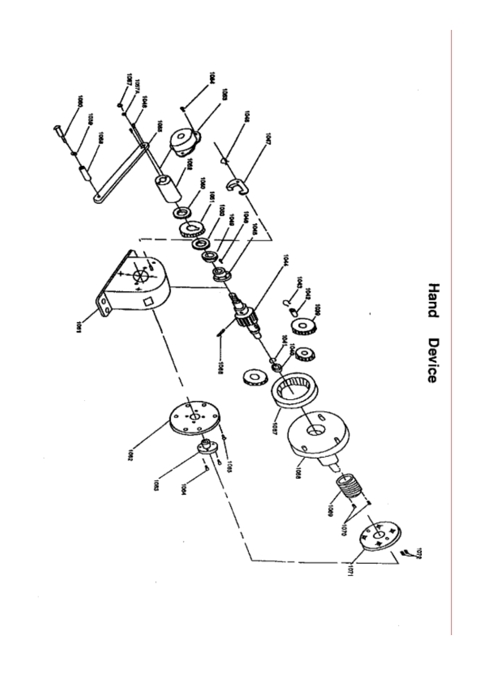